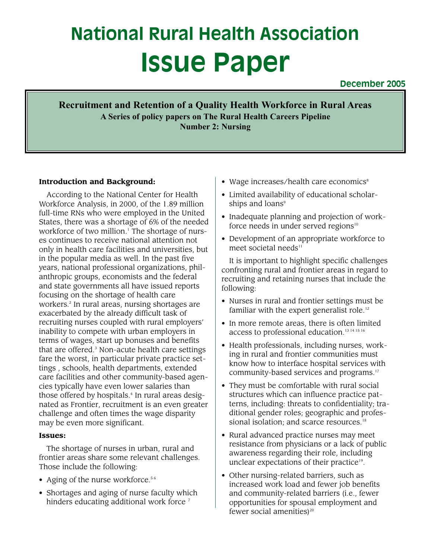# **National Rural Health Association Issue Paper**

**December 2005**

**Recruitment and Retention of a Quality Health Workforce in Rural Areas A Series of policy papers on The Rural Health Careers Pipeline Number 2: Nursing**

# **Introduction and Background:**

According to the National Center for Health Workforce Analysis, in 2000, of the 1.89 million full-time RNs who were employed in the United States, there was a shortage of 6% of the needed workforce of two million.<sup>1</sup> The shortage of nurses continues to receive national attention not only in health care facilities and universities, but in the popular media as well. In the past five years, national professional organizations, philanthropic groups, economists and the federal and state governments all have issued reports focusing on the shortage of health care workers.<sup>2</sup> In rural areas, nursing shortages are exacerbated by the already difficult task of recruiting nurses coupled with rural employers' inability to compete with urban employers in terms of wages, start up bonuses and benefits that are offered.<sup>3</sup> Non-acute health care settings fare the worst, in particular private practice settings , schools, health departments, extended care facilities and other community-based agencies typically have even lower salaries than those offered by hospitals.<sup>4</sup> In rural areas designated as Frontier, recruitment is an even greater challenge and often times the wage disparity may be even more significant.

#### **Issues:**

The shortage of nurses in urban, rural and frontier areas share some relevant challenges. Those include the following:

- Aging of the nurse workforce.<sup>56</sup>
- Shortages and aging of nurse faculty which hinders educating additional work force<sup>7</sup>
- Wage increases/health care economics $s$
- Limited availability of educational scholarships and loans<sup>9</sup>
- Inadequate planning and projection of workforce needs in under served regions $10$
- Development of an appropriate workforce to meet societal needs $11$

It is important to highlight specific challenges confronting rural and frontier areas in regard to recruiting and retaining nurses that include the following:

- Nurses in rural and frontier settings must be familiar with the expert generalist role.<sup>12</sup>
- In more remote areas, there is often limited access to professional education.<sup>13 14 15 16</sup>
- Health professionals, including nurses, working in rural and frontier communities must know how to interface hospital services with community-based services and programs.17
- They must be comfortable with rural social structures which can influence practice patterns, including: threats to confidentiality; traditional gender roles; geographic and professional isolation; and scarce resources.<sup>18</sup>
- Rural advanced practice nurses may meet resistance from physicians or a lack of public awareness regarding their role, including unclear expectations of their practice<sup>19</sup>.
- Other nursing-related barriers, such as increased work load and fewer job benefits and community-related barriers (i.e., fewer opportunities for spousal employment and fewer social amenities) $20$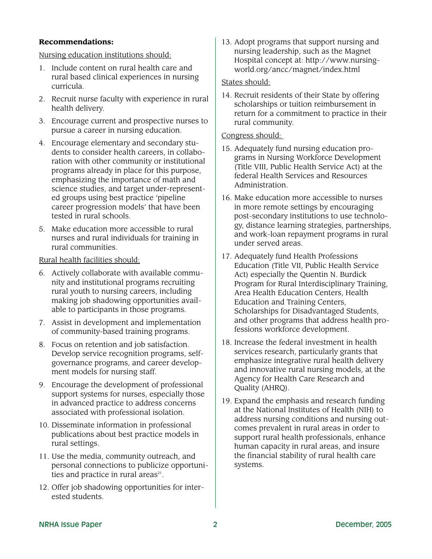# **Recommendations:**

Nursing education institutions should:

- 1. Include content on rural health care and rural based clinical experiences in nursing curricula.
- 2. Recruit nurse faculty with experience in rural health delivery.
- 3. Encourage current and prospective nurses to pursue a career in nursing education.
- 4. Encourage elementary and secondary students to consider health careers, in collaboration with other community or institutional programs already in place for this purpose, emphasizing the importance of math and science studies, and target under-represented groups using best practice 'pipeline career progression models' that have been tested in rural schools.
- 5. Make education more accessible to rural nurses and rural individuals for training in rural communities.

# Rural health facilities should:

- 6. Actively collaborate with available community and institutional programs recruiting rural youth to nursing careers, including making job shadowing opportunities available to participants in those programs.
- 7. Assist in development and implementation of community-based training programs.
- 8. Focus on retention and job satisfaction. Develop service recognition programs, selfgovernance programs, and career development models for nursing staff.
- 9. Encourage the development of professional support systems for nurses, especially those in advanced practice to address concerns associated with professional isolation.
- 10. Disseminate information in professional publications about best practice models in rural settings.
- 11. Use the media, community outreach, and personal connections to publicize opportunities and practice in rural areas $21$ .
- 12. Offer job shadowing opportunities for interested students.

13. Adopt programs that support nursing and nursing leadership, such as the Magnet Hospital concept at: http://www.nursingworld.org/ancc/magnet/index.html

# States should:

14. Recruit residents of their State by offering scholarships or tuition reimbursement in return for a commitment to practice in their rural community.

# Congress should:

- 15. Adequately fund nursing education programs in Nursing Workforce Development (Title VIII, Public Health Service Act) at the federal Health Services and Resources Administration.
- 16. Make education more accessible to nurses in more remote settings by encouraging post-secondary institutions to use technology, distance learning strategies, partnerships, and work-loan repayment programs in rural under served areas.
- 17. Adequately fund Health Professions Education (Title VII, Public Health Service Act) especially the Quentin N. Burdick Program for Rural Interdisciplinary Training, Area Health Education Centers, Health Education and Training Centers, Scholarships for Disadvantaged Students, and other programs that address health professions workforce development.
- 18. Increase the federal investment in health services research, particularly grants that emphasize integrative rural health delivery and innovative rural nursing models, at the Agency for Health Care Research and Quality (AHRQ).
- 19. Expand the emphasis and research funding at the National Institutes of Health (NIH) to address nursing conditions and nursing outcomes prevalent in rural areas in order to support rural health professionals, enhance human capacity in rural areas, and insure the financial stability of rural health care systems.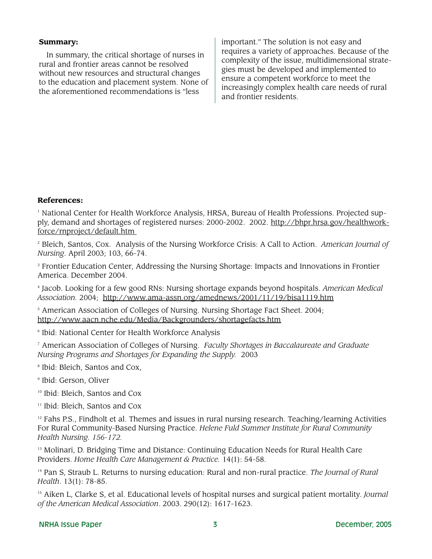#### **Summary:**

In summary, the critical shortage of nurses in rural and frontier areas cannot be resolved without new resources and structural changes to the education and placement system. None of the aforementioned recommendations is "less

important." The solution is not easy and requires a variety of approaches. Because of the complexity of the issue, multidimensional strategies must be developed and implemented to ensure a competent workforce to meet the increasingly complex health care needs of rural and frontier residents.

#### **References:**

<sup>1</sup> National Center for Health Workforce Analysis, HRSA, Bureau of Health Professions. Projected supply, demand and shortages of registered nurses: 2000-2002. 2002. http://bhpr.hrsa.gov/healthworkforce/rnproject/default.htm

<sup>2</sup> Bleich, Santos, Cox. Analysis of the Nursing Workforce Crisis: A Call to Action. *American Journal of Nursing*. April 2003; 103, 66-74.

<sup>3</sup> Frontier Education Center, Addressing the Nursing Shortage: Impacts and Innovations in Frontier America. December 2004.

<sup>4</sup> Jacob. Looking for a few good RNs: Nursing shortage expands beyond hospitals. *American Medical Association.* 2004; http://www.ama-assn.org/amednews/2001/11/19/bisa1119.htm

<sup>5</sup> American Association of Colleges of Nursing. Nursing Shortage Fact Sheet. 2004; http://www.aacn.nche.edu/Media/Backgrounders/shortagefacts.htm

<sup>6</sup> Ibid: National Center for Health Workforce Analysis

<sup>7</sup> American Association of Colleges of Nursing. *Faculty Shortages in Baccalaureate and Graduate Nursing Programs and Shortages for Expanding the Supply.* 2003

<sup>8</sup> Ibid: Bleich, Santos and Cox,

<sup>9</sup> Ibid: Gerson, Oliver

<sup>10</sup> Ibid: Bleich, Santos and Cox

<sup>11</sup> Ibid: Bleich, Santos and Cox

 $12$  Fahs P.S., Findholt et al. Themes and issues in rural nursing research. Teaching/learning Activities For Rural Community-Based Nursing Practice. *Helene Fuld Summer Institute for Rural Community Health Nursing. 156-172.*

<sup>13</sup> Molinari, D. Bridging Time and Distance: Continuing Education Needs for Rural Health Care Providers. *Home Health Care Management & Practice.* 14(1): 54-58.

<sup>14</sup> Pan S, Straub L. Returns to nursing education: Rural and non-rural practice. *The Journal of Rural Health*. 13(1): 78-85.

<sup>15</sup> Aiken L, Clarke S, et al. Educational levels of hospital nurses and surgical patient mortality. *Journal of the American Medical Association*. 2003. 290(12): 1617-1623.